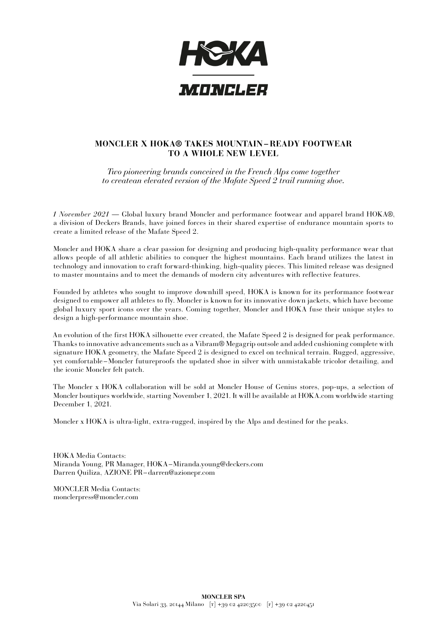

## **MONCLER X HOKA® TAKES MOUNTAIN – READY FOOTWEAR TO A WHOLE NEW LEVEL**

*Two pioneering brands conceived in the French Alps come together to createan elevated version of the Mafate Speed 2 trail running shoe.*

*1 November 2021* — Global luxury brand Moncler and performance footwear and apparel brand HOKA®, a division of Deckers Brands, have joined forces in their shared expertise of endurance mountain sports to create a limited release of the Mafate Speed 2.

Moncler and HOKA share a clear passion for designing and producing high-quality performance wear that allows people of all athletic abilities to conquer the highest mountains. Each brand utilizes the latest in technology and innovation to craft forward-thinking, high-quality pieces. This limited release was designed to master mountains and to meet the demands of modern city adventures with reflective features.

Founded by athletes who sought to improve downhill speed, HOKA is known for its performance footwear designed to empower all athletes to fly. Moncler is known for its innovative down jackets, which have become global luxury sport icons over the years. Coming together, Moncler and HOKA fuse their unique styles to design a high-performance mountain shoe.

An evolution of the first HOKA silhouette ever created, the Mafate Speed 2 is designed for peak performance. Thanks to innovative advancements such as a Vibram® Megagrip outsole and added cushioning complete with signature HOKA geometry, the Mafate Speed 2 is designed to excel on technical terrain. Rugged, aggressive, yet comfortable – Moncler futureproofs the updated shoe in silver with unmistakable tricolor detailing, and the iconic Moncler felt patch.

The Moncler x HOKA collaboration will be sold at Moncler House of Genius stores, pop-ups, a selection of Moncler boutiques worldwide, starting November 1, 2021. It will be available at HOKA.com worldwide starting December 1, 2021.

Moncler x HOKA is ultra-light, extra-rugged, inspired by the Alps and destined for the peaks.

HOKA Media Contacts: Miranda Young, PR Manager, HOKA–Miranda.young@deckers.com Darren Quiliza, AZIONE PR–darren@azionepr.com

MONCLER Media Contacts: monclerpress@moncler.com